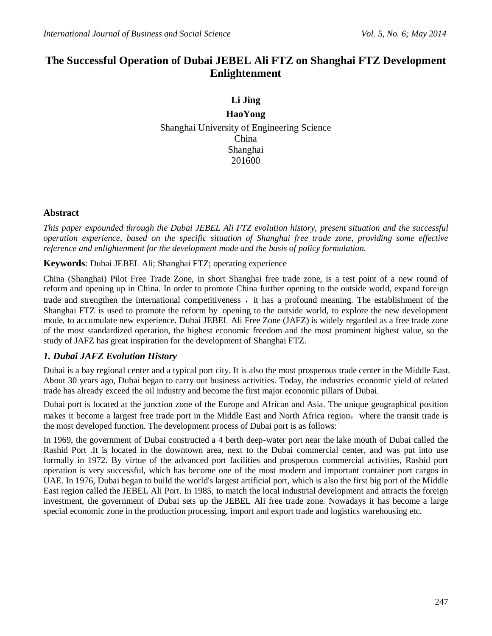# **The Successful Operation of Dubai JEBEL Ali FTZ on Shanghai FTZ Development Enlightenment**

**Li Jing HaoYong** Shanghai University of Engineering Science China Shanghai 201600

## **Abstract**

*This paper expounded through the Dubai JEBEL Ali FTZ evolution history, present situation and the successful operation experience, based on the specific situation of Shanghai free trade zone, providing some effective reference and enlightenment for the development mode and the basis of policy formulation.*

#### **Keywords**: Dubai JEBEL Ali; Shanghai FTZ; operating experience

China (Shanghai) Pilot Free Trade Zone, in short Shanghai free trade zone, is a test point of a new round of reform and opening up in China. In order to promote China further opening to the outside world, expand foreign trade and strengthen the international competitiveness, it has a profound meaning. The establishment of the Shanghai FTZ is used to promote the reform by opening to the outside world, to explore the new development mode, to accumulate new experience. Dubai JEBEL Ali Free Zone (JAFZ) is widely regarded as a free trade zone of the most standardized operation, the highest economic freedom and the most prominent highest value, so the study of JAFZ has great inspiration for the development of Shanghai FTZ.

## *1. Dubai JAFZ Evolution History*

Dubai is a bay regional center and a typical port city. It is also the most prosperous trade center in the Middle East. About 30 years ago, Dubai began to carry out business activities. Today, the industries economic yield of related trade has already exceed the oil industry and become the first major economic pillars of Dubai.

Dubai port is located at the junction zone of the Europe and African and Asia. The unique geographical position makes it become a largest free trade port in the Middle East and North Africa region, where the transit trade is the most developed function. The development process of Dubai port is as follows:

In 1969, the government of Dubai constructed a 4 berth deep-water port near the lake mouth of Dubai called the Rashid Port .It is located in the downtown area, next to the Dubai commercial center, and was put into use formally in 1972. By virtue of the advanced port facilities and prosperous commercial activities, Rashid port operation is very successful, which has become one of the most modern and important container port cargos in UAE. In 1976, Dubai began to build the world's largest artificial port, which is also the first big port of the Middle East region called the JEBEL Ali Port. In 1985, to match the local industrial development and attracts the foreign investment, the government of Dubai sets up the JEBEL Ali free trade zone. Nowadays it has become a large special economic zone in the production processing, import and export trade and logistics warehousing etc.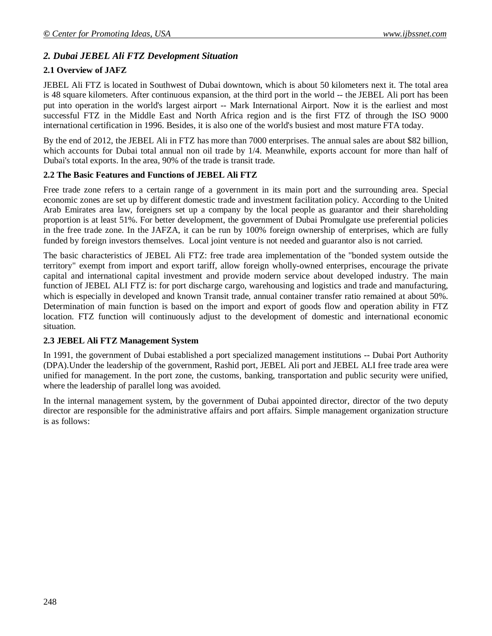## *2. Dubai JEBEL Ali FTZ Development Situation*

## **2.1 Overview of JAFZ**

JEBEL Ali FTZ is located in Southwest of Dubai downtown, which is about 50 kilometers next it. The total area is 48 square kilometers. After continuous expansion, at the third port in the world -- the JEBEL Ali port has been put into operation in the world's largest airport -- Mark International Airport. Now it is the earliest and most successful FTZ in the Middle East and North Africa region and is the first FTZ of through the ISO 9000 international certification in 1996. Besides, it is also one of the world's busiest and most mature FTA today.

By the end of 2012, the JEBEL Ali in FTZ has more than 7000 enterprises. The annual sales are about \$82 billion, which accounts for Dubai total annual non oil trade by 1/4. Meanwhile, exports account for more than half of Dubai's total exports. In the area, 90% of the trade is transit trade.

#### **2.2 The Basic Features and Functions of JEBEL Ali FTZ**

Free trade zone refers to a certain range of a government in its main port and the surrounding area. Special economic zones are set up by different domestic trade and investment facilitation policy. According to the United Arab Emirates area law, foreigners set up a company by the local people as guarantor and their shareholding proportion is at least 51%. For better development, the government of Dubai Promulgate use preferential policies in the free trade zone. In the JAFZA, it can be run by 100% foreign ownership of enterprises, which are fully funded by foreign investors themselves. Local joint venture is not needed and guarantor also is not carried.

The basic characteristics of JEBEL Ali FTZ: free trade area implementation of the "bonded system outside the territory" exempt from import and export tariff, allow foreign wholly-owned enterprises, encourage the private capital and international capital investment and provide modern service about developed industry. The main function of JEBEL ALI FTZ is: for port discharge cargo, warehousing and logistics and trade and manufacturing, which is especially in developed and known Transit trade, annual container transfer ratio remained at about 50%. Determination of main function is based on the import and export of goods flow and operation ability in FTZ location. FTZ function will continuously adjust to the development of domestic and international economic situation.

#### **2.3 JEBEL Ali FTZ Management System**

In 1991, the government of Dubai established a port specialized management institutions -- Dubai Port Authority (DPA).Under the leadership of the government, Rashid port, JEBEL Ali port and JEBEL ALI free trade area were unified for management. In the port zone, the customs, banking, transportation and public security were unified, where the leadership of parallel long was avoided.

In the internal management system, by the government of Dubai appointed director, director of the two deputy director are responsible for the administrative affairs and port affairs. Simple management organization structure is as follows: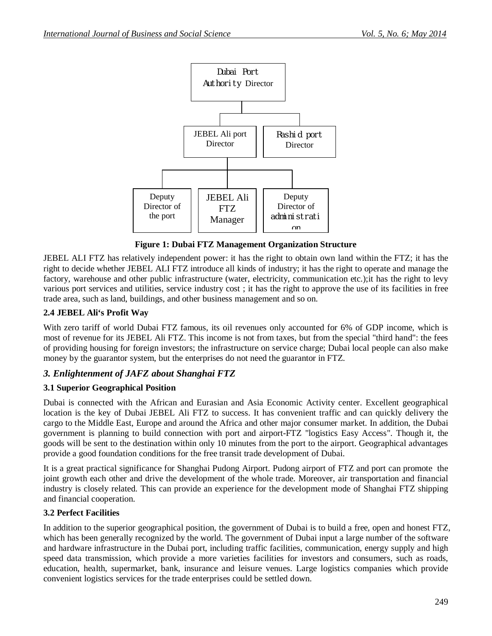

**Figure 1: Dubai FTZ Management Organization Structure**

JEBEL ALI FTZ has relatively independent power: it has the right to obtain own land within the FTZ; it has the right to decide whether JEBEL ALI FTZ introduce all kinds of industry; it has the right to operate and manage the factory, warehouse and other public infrastructure (water, electricity, communication etc.);it has the right to levy various port services and utilities, service industry cost ; it has the right to approve the use of its facilities in free trade area, such as land, buildings, and other business management and so on.

#### **2.4 JEBEL Ali's Profit Way**

With zero tariff of world Dubai FTZ famous, its oil revenues only accounted for 6% of GDP income, which is most of revenue for its JEBEL Ali FTZ. This income is not from taxes, but from the special "third hand": the fees of providing housing for foreign investors; the infrastructure on service charge; Dubai local people can also make money by the guarantor system, but the enterprises do not need the guarantor in FTZ.

## *3. Enlightenment of JAFZ about Shanghai FTZ*

#### **3.1 Superior Geographical Position**

Dubai is connected with the African and Eurasian and Asia Economic Activity center. Excellent geographical location is the key of Dubai JEBEL Ali FTZ to success. It has convenient traffic and can quickly delivery the cargo to the Middle East, Europe and around the Africa and other major consumer market. In addition, the Dubai government is planning to build connection with port and airport-FTZ "logistics Easy Access". Though it, the goods will be sent to the destination within only 10 minutes from the port to the airport. Geographical advantages provide a good foundation conditions for the free transit trade development of Dubai.

It is a great practical significance for Shanghai Pudong Airport. Pudong airport of FTZ and port can promote the joint growth each other and drive the development of the whole trade. Moreover, air transportation and financial industry is closely related. This can provide an experience for the development mode of Shanghai FTZ shipping and financial cooperation.

#### **3.2 Perfect Facilities**

In addition to the superior geographical position, the government of Dubai is to build a free, open and honest FTZ, which has been generally recognized by the world. The government of Dubai input a large number of the software and hardware infrastructure in the Dubai port, including traffic facilities, communication, energy supply and high speed data transmission, which provide a more varieties facilities for investors and consumers, such as roads, education, health, supermarket, bank, insurance and leisure venues. Large logistics companies which provide convenient logistics services for the trade enterprises could be settled down.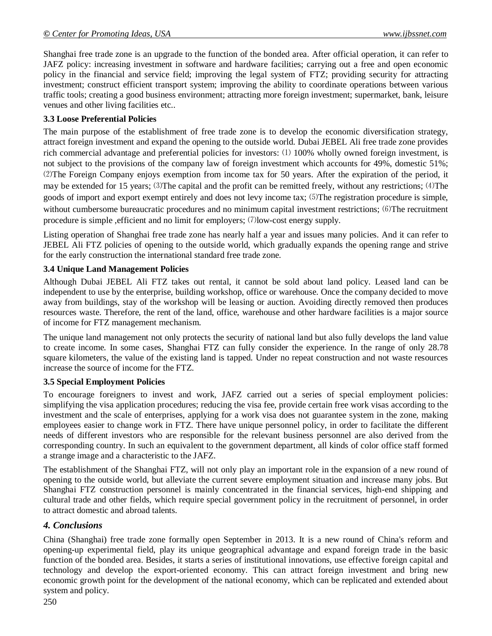#### *© Center for Promoting Ideas, USA www.ijbssnet.com*

Shanghai free trade zone is an upgrade to the function of the bonded area. After official operation, it can refer to JAFZ policy: increasing investment in software and hardware facilities; carrying out a free and open economic policy in the financial and service field; improving the legal system of FTZ; providing security for attracting investment; construct efficient transport system; improving the ability to coordinate operations between various traffic tools; creating a good business environment; attracting more foreign investment; supermarket, bank, leisure venues and other living facilities etc..

### **3.3 Loose Preferential Policies**

The main purpose of the establishment of free trade zone is to develop the economic diversification strategy, attract foreign investment and expand the opening to the outside world. Dubai JEBEL Ali free trade zone provides rich commercial advantage and preferential policies for investors: ⑴ 100% wholly owned foreign investment, is not subject to the provisions of the company law of foreign investment which accounts for 49%, domestic 51%; ⑵The Foreign Company enjoys exemption from income tax for 50 years. After the expiration of the period, it may be extended for 15 years;  $(3)$ The capital and the profit can be remitted freely, without any restrictions;  $(4)$ The goods of import and export exempt entirely and does not levy income tax;  $(5)$ The registration procedure is simple, without cumbersome bureaucratic procedures and no minimum capital investment restrictions;  $(6)$ The recruitment procedure is simple , efficient and no limit for employers;  $(7)$  low-cost energy supply.

Listing operation of Shanghai free trade zone has nearly half a year and issues many policies. And it can refer to JEBEL Ali FTZ policies of opening to the outside world, which gradually expands the opening range and strive for the early construction the international standard free trade zone.

#### **3.4 Unique Land Management Policies**

Although Dubai JEBEL Ali FTZ takes out rental, it cannot be sold about land policy. Leased land can be independent to use by the enterprise, building workshop, office or warehouse. Once the company decided to move away from buildings, stay of the workshop will be leasing or auction. Avoiding directly removed then produces resources waste. Therefore, the rent of the land, office, warehouse and other hardware facilities is a major source of income for FTZ management mechanism.

The unique land management not only protects the security of national land but also fully develops the land value to create income. In some cases, Shanghai FTZ can fully consider the experience. In the range of only 28.78 square kilometers, the value of the existing land is tapped. Under no repeat construction and not waste resources increase the source of income for the FTZ.

#### **3.5 Special Employment Policies**

To encourage foreigners to invest and work, JAFZ carried out a series of special employment policies: simplifying the visa application procedures; reducing the visa fee, provide certain free work visas according to the investment and the scale of enterprises, applying for a work visa does not guarantee system in the zone, making employees easier to change work in FTZ. There have unique personnel policy, in order to facilitate the different needs of different investors who are responsible for the relevant business personnel are also derived from the corresponding country. In such an equivalent to the government department, all kinds of color office staff formed a strange image and a characteristic to the JAFZ.

The establishment of the Shanghai FTZ, will not only play an important role in the expansion of a new round of opening to the outside world, but alleviate the current severe employment situation and increase many jobs. But Shanghai FTZ construction personnel is mainly concentrated in the financial services, high-end shipping and cultural trade and other fields, which require special government policy in the recruitment of personnel, in order to attract domestic and abroad talents.

## *4. Conclusions*

China (Shanghai) free trade zone formally open September in 2013. It is a new round of China's reform and opening-up experimental field, play its unique geographical advantage and expand foreign trade in the basic function of the bonded area. Besides, it starts a series of institutional innovations, use effective foreign capital and technology and develop the export-oriented economy. This can attract foreign investment and bring new economic growth point for the development of the national economy, which can be replicated and extended about system and policy.